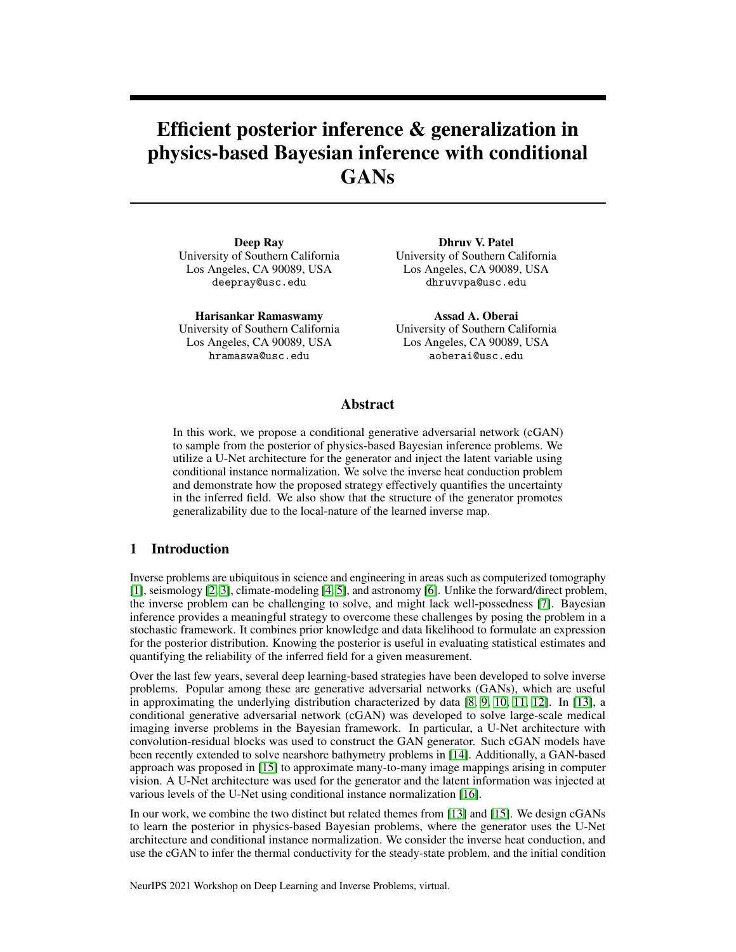# Efficient posterior inference & generalization in physics-based Bayesian inference with conditional GANs

Deep Ray University of Southern California Los Angeles, CA 90089, USA deepray@usc.edu

Harisankar Ramaswamy University of Southern California Los Angeles, CA 90089, USA hramaswa@usc.edu

Dhruv V. Patel University of Southern California Los Angeles, CA 90089, USA dhruvvpa@usc.edu

Assad A. Oberai University of Southern California Los Angeles, CA 90089, USA aoberai@usc.edu

# Abstract

In this work, we propose a conditional generative adversarial network (cGAN) to sample from the posterior of physics-based Bayesian inference problems. We utilize a U-Net architecture for the generator and inject the latent variable using conditional instance normalization. We solve the inverse heat conduction problem and demonstrate how the proposed strategy effectively quantifies the uncertainty in the inferred field. We also show that the structure of the generator promotes generalizability due to the local-nature of the learned inverse map.

# 1 Introduction

Inverse problems are ubiquitous in science and engineering in areas such as computerized tomography [\[1\]](#page-4-0), seismology [\[2,](#page-4-1) [3\]](#page-4-2), climate-modeling [\[4,](#page-4-3) [5\]](#page-4-4), and astronomy [\[6\]](#page-4-5). Unlike the forward/direct problem, the inverse problem can be challenging to solve, and might lack well-possedness [\[7\]](#page-4-6). Bayesian inference provides a meaningful strategy to overcome these challenges by posing the problem in a stochastic framework. It combines prior knowledge and data likelihood to formulate an expression for the posterior distribution. Knowing the posterior is useful in evaluating statistical estimates and quantifying the reliability of the inferred field for a given measurement.

Over the last few years, several deep learning-based strategies have been developed to solve inverse problems. Popular among these are generative adversarial networks (GANs), which are useful in approximating the underlying distribution characterized by data [\[8,](#page-4-7) [9,](#page-4-8) [10,](#page-4-9) [11,](#page-4-10) [12\]](#page-4-11). In [\[13\]](#page-4-12), a conditional generative adversarial network (cGAN) was developed to solve large-scale medical imaging inverse problems in the Bayesian framework. In particular, a U-Net architecture with convolution-residual blocks was used to construct the GAN generator. Such cGAN models have been recently extended to solve nearshore bathymetry problems in [\[14\]](#page-4-13). Additionally, a GAN-based approach was proposed in [\[15\]](#page-4-14) to approximate many-to-many image mappings arising in computer vision. A U-Net architecture was used for the generator and the latent information was injected at various levels of the U-Net using conditional instance normalization [\[16\]](#page-4-15).

In our work, we combine the two distinct but related themes from [\[13\]](#page-4-12) and [\[15\]](#page-4-14). We design cGANs to learn the posterior in physics-based Bayesian problems, where the generator uses the U-Net architecture and conditional instance normalization. We consider the inverse heat conduction, and use the cGAN to infer the thermal conductivity for the steady-state problem, and the initial condition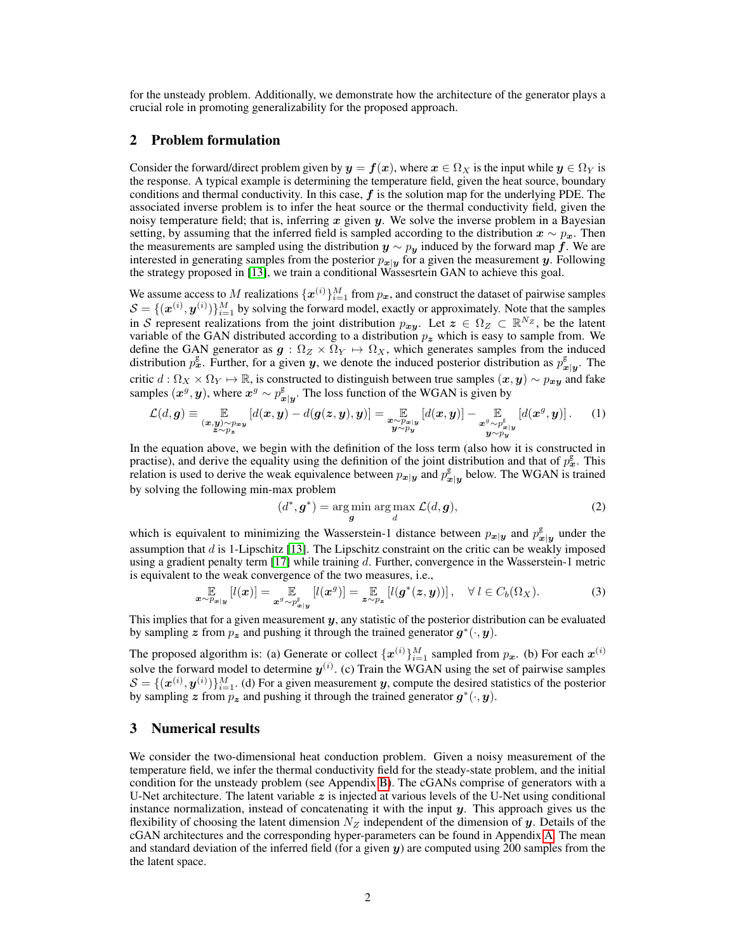for the unsteady problem. Additionally, we demonstrate how the architecture of the generator plays a crucial role in promoting generalizability for the proposed approach.

# 2 Problem formulation

Consider the forward/direct problem given by  $y = f(x)$ , where  $x \in \Omega_X$  is the input while  $y \in \Omega_Y$  is the response. A typical example is determining the temperature field, given the heat source, boundary conditions and thermal conductivity. In this case,  $f$  is the solution map for the underlying PDE. The associated inverse problem is to infer the heat source or the thermal conductivity field, given the noisy temperature field; that is, inferring  $x$  given  $y$ . We solve the inverse problem in a Bayesian setting, by assuming that the inferred field is sampled according to the distribution  $x \sim p_x$ . Then the measurements are sampled using the distribution  $y \sim p_y$  induced by the forward map f. We are interested in generating samples from the posterior  $p_{x|y}$  for a given the measurement y. Following the strategy proposed in [\[13\]](#page-4-12), we train a conditional Wassesrtein GAN to achieve this goal.

We assume access to M realizations  $\{x^{(i)}\}_{i=1}^M$  from  $p_x$ , and construct the dataset of pairwise samples  $\mathcal{S} = \{(\boldsymbol{x}^{(i)}, \boldsymbol{y}^{(i)})\}_{i=1}^M$  by solving the forward model, exactly or approximately. Note that the samples in S represent realizations from the joint distribution  $p_{xy}$ . Let  $z \in \Omega_Z \subset \mathbb{R}^{N_Z}$ , be the latent variable of the GAN distributed according to a distribution  $p<sub>z</sub>$  which is easy to sample from. We define the GAN generator as  $g : \Omega_Z \times \Omega_Y \to \Omega_X$ , which generates samples from the induced distribution  $p_x^g$ . Further, for a given y, we denote the induced posterior distribution as  $p_x^g$  $x|y$ . The critic  $d: \Omega_X \times \Omega_Y \mapsto \mathbb{R}$ , is constructed to distinguish between true samples  $(\bm{x}, \bm{y}) \sim p_{\bm{x}\bm{y}}$  and fake samples  $(x^g, y)$ , where  $x^g \sim p_x^g$  $\int_{\mathbf{x}|\mathbf{y}}^{\mathbf{g}}$ . The loss function of the WGAN is given by

$$
\mathcal{L}(d,g) \equiv \mathop{\mathbb{E}}_{\substack{(x,y)\sim p_{xy} \\ z\sim p_z}} [d(x,y) - d(g(z,y),y)] = \mathop{\mathbb{E}}_{\substack{x\sim p_{xy} \\ y\sim p_y}} [d(x,y)] - \mathop{\mathbb{E}}_{\substack{x^g\sim p_{xy}^{\mathbb{E}} \\ y\sim p_y}} [d(x^g,y)].
$$
 (1)

In the equation above, we begin with the definition of the loss term (also how it is constructed in practise), and derive the equality using the definition of the joint distribution and that of  $p_x^{\rm g}$ . This relation is used to derive the weak equivalence between  $p_{x|y}$  and  $p_x^g$  $\frac{g}{x|y}$  below. The WGAN is trained by solving the following min-max problem

$$
(d^*, \boldsymbol{g}^*) = \underset{\boldsymbol{g}}{\text{arg min}} \underset{d}{\text{arg max}} \mathcal{L}(d, \boldsymbol{g}),\tag{2}
$$

which is equivalent to minimizing the Wasserstein-1 distance between  $p_{x|y}$  and  $p_x^g$  $x|y$  under the assumption that  $d$  is 1-Lipschitz [\[13\]](#page-4-12). The Lipschitz constraint on the critic can be weakly imposed using a gradient penalty term  $[17]$  while training d. Further, convergence in the Wasserstein-1 metric is equivalent to the weak convergence of the two measures, i.e.,

$$
\mathop{\mathbb{E}}_{\boldsymbol{x}\sim p_{\boldsymbol{x}|\boldsymbol{y}}} [l(\boldsymbol{x})] = \mathop{\mathbb{E}}_{\boldsymbol{x}^g\sim p_{\boldsymbol{x}|\boldsymbol{y}}^{\text{g}}} [l(\boldsymbol{x}^g)] = \mathop{\mathbb{E}}_{\boldsymbol{z}\sim p_{\boldsymbol{z}}} [l(\boldsymbol{g}^*(\boldsymbol{z},\boldsymbol{y}))], \quad \forall l \in C_b(\Omega_X). \tag{3}
$$

This implies that for a given measurement  $y$ , any statistic of the posterior distribution can be evaluated by sampling z from  $p_z$  and pushing it through the trained generator  $g^*(\cdot, y)$ .

The proposed algorithm is: (a) Generate or collect  $\{x^{(i)}\}_{i=1}^M$  sampled from  $p_x$ . (b) For each  $x^{(i)}$ solve the forward model to determine  $y^{(i)}$ . (c) Train the WGAN using the set of pairwise samples  $\mathcal{S} = \{(\boldsymbol{x}^{(i)}, \boldsymbol{y}^{(i)})\}_{i=1}^M$ . (d) For a given measurement y, compute the desired statistics of the posterior by sampling z from  $p_z$  and pushing it through the trained generator  $g^*(\cdot, y)$ .

# 3 Numerical results

We consider the two-dimensional heat conduction problem. Given a noisy measurement of the temperature field, we infer the thermal conductivity field for the steady-state problem, and the initial condition for the unsteady problem (see Appendix [B\)](#page-6-0). The cGANs comprise of generators with a U-Net architecture. The latent variable  $z$  is injected at various levels of the U-Net using conditional instance normalization, instead of concatenating it with the input  $y$ . This approach gives us the flexibility of choosing the latent dimension  $N<sub>Z</sub>$  independent of the dimension of y. Details of the cGAN architectures and the corresponding hyper-parameters can be found in Appendix [A.](#page-5-0) The mean and standard deviation of the inferred field (for a given  $y$ ) are computed using 200 samples from the the latent space.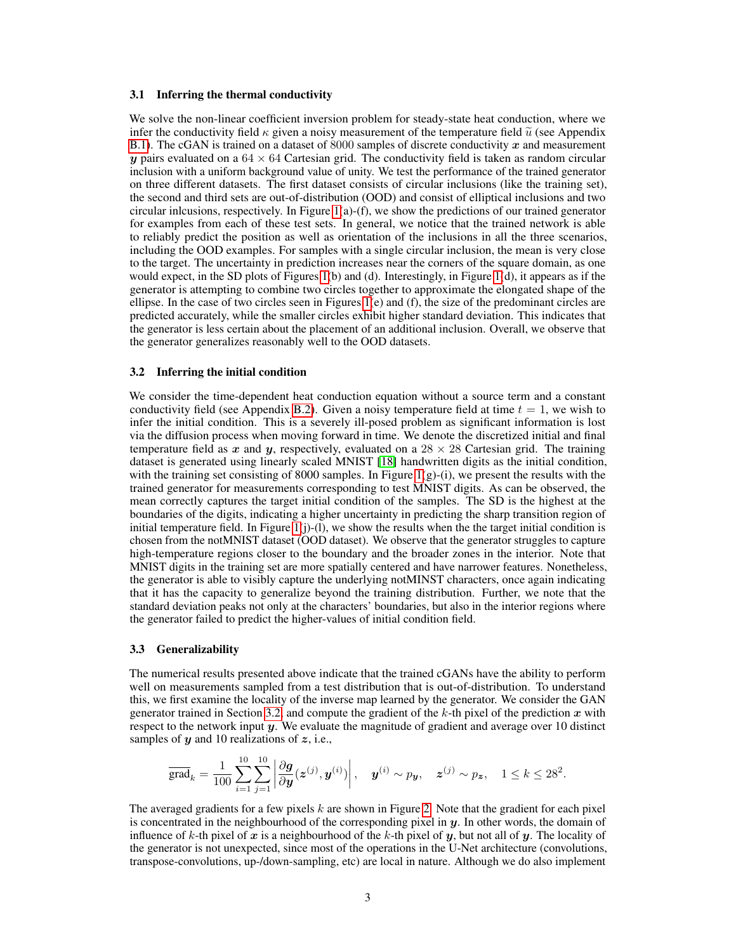#### 3.1 Inferring the thermal conductivity

We solve the non-linear coefficient inversion problem for steady-state heat conduction, where we infer the conductivity field  $\kappa$  given a noisy measurement of the temperature field  $\tilde{u}$  (see Appendix [B.1\)](#page-6-1). The cGAN is trained on a dataset of 8000 samples of discrete conductivity  $x$  and measurement y pairs evaluated on a  $64 \times 64$  Cartesian grid. The conductivity field is taken as random circular inclusion with a uniform background value of unity. We test the performance of the trained generator on three different datasets. The first dataset consists of circular inclusions (like the training set), the second and third sets are out-of-distribution (OOD) and consist of elliptical inclusions and two circular inlcusions, respectively. In Figure [1\(](#page-3-0)a)-(f), we show the predictions of our trained generator for examples from each of these test sets. In general, we notice that the trained network is able to reliably predict the position as well as orientation of the inclusions in all the three scenarios, including the OOD examples. For samples with a single circular inclusion, the mean is very close to the target. The uncertainty in prediction increases near the corners of the square domain, as one would expect, in the SD plots of Figures [1\(](#page-3-0)b) and (d). Interestingly, in Figure [1\(](#page-3-0)d), it appears as if the generator is attempting to combine two circles together to approximate the elongated shape of the ellipse. In the case of two circles seen in Figures [1\(](#page-3-0)e) and (f), the size of the predominant circles are predicted accurately, while the smaller circles exhibit higher standard deviation. This indicates that the generator is less certain about the placement of an additional inclusion. Overall, we observe that the generator generalizes reasonably well to the OOD datasets.

#### <span id="page-2-0"></span>3.2 Inferring the initial condition

We consider the time-dependent heat conduction equation without a source term and a constant conductivity field (see Appendix [B.2\)](#page-7-0). Given a noisy temperature field at time  $t = 1$ , we wish to infer the initial condition. This is a severely ill-posed problem as significant information is lost via the diffusion process when moving forward in time. We denote the discretized initial and final temperature field as x and y, respectively, evaluated on a  $28 \times 28$  Cartesian grid. The training dataset is generated using linearly scaled MNIST [\[18\]](#page-4-17) handwritten digits as the initial condition, with the training set consisting of 8000 samples. In Figure  $1(g)$ -(i), we present the results with the trained generator for measurements corresponding to test MNIST digits. As can be observed, the mean correctly captures the target initial condition of the samples. The SD is the highest at the boundaries of the digits, indicating a higher uncertainty in predicting the sharp transition region of initial temperature field. In Figure  $1(j)-(1)$ , we show the results when the the target initial condition is chosen from the notMNIST dataset (OOD dataset). We observe that the generator struggles to capture high-temperature regions closer to the boundary and the broader zones in the interior. Note that MNIST digits in the training set are more spatially centered and have narrower features. Nonetheless, the generator is able to visibly capture the underlying notMINST characters, once again indicating that it has the capacity to generalize beyond the training distribution. Further, we note that the standard deviation peaks not only at the characters' boundaries, but also in the interior regions where the generator failed to predict the higher-values of initial condition field.

#### 3.3 Generalizability

The numerical results presented above indicate that the trained cGANs have the ability to perform well on measurements sampled from a test distribution that is out-of-distribution. To understand this, we first examine the locality of the inverse map learned by the generator. We consider the GAN generator trained in Section [3.2,](#page-2-0) and compute the gradient of the  $k$ -th pixel of the prediction  $x$  with respect to the network input  $y$ . We evaluate the magnitude of gradient and average over 10 distinct samples of  $y$  and 10 realizations of  $z$ , i.e.,

$$
\overline{\text{grad}}_k = \frac{1}{100} \sum_{i=1}^{10} \sum_{j=1}^{10} \left| \frac{\partial \boldsymbol{g}}{\partial \boldsymbol{y}} (\boldsymbol{z}^{(j)}, \boldsymbol{y}^{(i)}) \right|, \quad \boldsymbol{y}^{(i)} \sim p_{\boldsymbol{y}}, \quad \boldsymbol{z}^{(j)} \sim p_{\boldsymbol{z}}, \quad 1 \leq k \leq 28^2.
$$

The averaged gradients for a few pixels  $k$  are shown in Figure [2.](#page-3-1) Note that the gradient for each pixel is concentrated in the neighbourhood of the corresponding pixel in  $y$ . In other words, the domain of influence of k-th pixel of x is a neighbourhood of the k-th pixel of y, but not all of y. The locality of the generator is not unexpected, since most of the operations in the U-Net architecture (convolutions, transpose-convolutions, up-/down-sampling, etc) are local in nature. Although we do also implement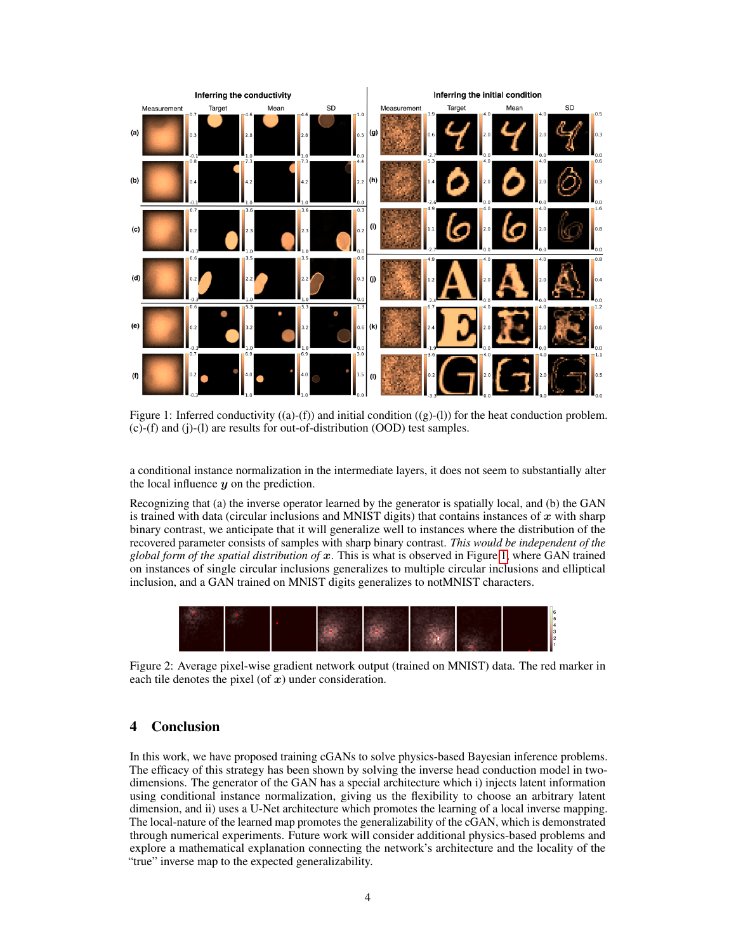<span id="page-3-0"></span>

Figure 1: Inferred conductivity  $((a)-(f))$  and initial condition  $((g)-(1))$  for the heat conduction problem. (c)-(f) and (j)-(l) are results for out-of-distribution (OOD) test samples.

a conditional instance normalization in the intermediate layers, it does not seem to substantially alter the local influence  $y$  on the prediction.

Recognizing that (a) the inverse operator learned by the generator is spatially local, and (b) the GAN is trained with data (circular inclusions and MNIST digits) that contains instances of  $x$  with sharp binary contrast, we anticipate that it will generalize well to instances where the distribution of the recovered parameter consists of samples with sharp binary contrast. *This would be independent of the global form of the spatial distribution of* x. This is what is observed in Figure [1,](#page-3-0) where GAN trained on instances of single circular inclusions generalizes to multiple circular inclusions and elliptical inclusion, and a GAN trained on MNIST digits generalizes to notMNIST characters.

<span id="page-3-1"></span>

Figure 2: Average pixel-wise gradient network output (trained on MNIST) data. The red marker in each tile denotes the pixel (of  $x$ ) under consideration.

# 4 Conclusion

In this work, we have proposed training cGANs to solve physics-based Bayesian inference problems. The efficacy of this strategy has been shown by solving the inverse head conduction model in twodimensions. The generator of the GAN has a special architecture which i) injects latent information using conditional instance normalization, giving us the flexibility to choose an arbitrary latent dimension, and ii) uses a U-Net architecture which promotes the learning of a local inverse mapping. The local-nature of the learned map promotes the generalizability of the cGAN, which is demonstrated through numerical experiments. Future work will consider additional physics-based problems and explore a mathematical explanation connecting the network's architecture and the locality of the "true" inverse map to the expected generalizability.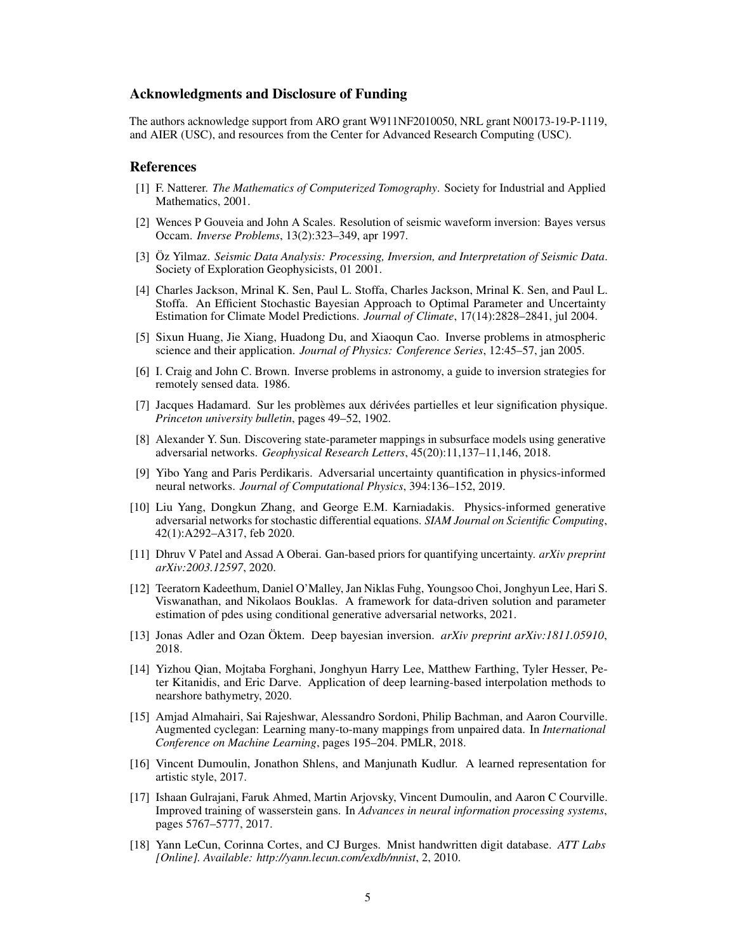## Acknowledgments and Disclosure of Funding

The authors acknowledge support from ARO grant W911NF2010050, NRL grant N00173-19-P-1119, and AIER (USC), and resources from the Center for Advanced Research Computing (USC).

## References

- <span id="page-4-0"></span>[1] F. Natterer. *The Mathematics of Computerized Tomography*. Society for Industrial and Applied Mathematics, 2001.
- <span id="page-4-1"></span>[2] Wences P Gouveia and John A Scales. Resolution of seismic waveform inversion: Bayes versus Occam. *Inverse Problems*, 13(2):323–349, apr 1997.
- <span id="page-4-2"></span>[3] Öz Yilmaz. *Seismic Data Analysis: Processing, Inversion, and Interpretation of Seismic Data*. Society of Exploration Geophysicists, 01 2001.
- <span id="page-4-3"></span>[4] Charles Jackson, Mrinal K. Sen, Paul L. Stoffa, Charles Jackson, Mrinal K. Sen, and Paul L. Stoffa. An Efficient Stochastic Bayesian Approach to Optimal Parameter and Uncertainty Estimation for Climate Model Predictions. *Journal of Climate*, 17(14):2828–2841, jul 2004.
- <span id="page-4-4"></span>[5] Sixun Huang, Jie Xiang, Huadong Du, and Xiaoqun Cao. Inverse problems in atmospheric science and their application. *Journal of Physics: Conference Series*, 12:45–57, jan 2005.
- <span id="page-4-5"></span>[6] I. Craig and John C. Brown. Inverse problems in astronomy, a guide to inversion strategies for remotely sensed data. 1986.
- <span id="page-4-6"></span>[7] Jacques Hadamard. Sur les problèmes aux dérivées partielles et leur signification physique. *Princeton university bulletin*, pages 49–52, 1902.
- <span id="page-4-7"></span>[8] Alexander Y. Sun. Discovering state-parameter mappings in subsurface models using generative adversarial networks. *Geophysical Research Letters*, 45(20):11,137–11,146, 2018.
- <span id="page-4-8"></span>[9] Yibo Yang and Paris Perdikaris. Adversarial uncertainty quantification in physics-informed neural networks. *Journal of Computational Physics*, 394:136–152, 2019.
- <span id="page-4-9"></span>[10] Liu Yang, Dongkun Zhang, and George E.M. Karniadakis. Physics-informed generative adversarial networks for stochastic differential equations. *SIAM Journal on Scientific Computing*, 42(1):A292–A317, feb 2020.
- <span id="page-4-10"></span>[11] Dhruv V Patel and Assad A Oberai. Gan-based priors for quantifying uncertainty. *arXiv preprint arXiv:2003.12597*, 2020.
- <span id="page-4-11"></span>[12] Teeratorn Kadeethum, Daniel O'Malley, Jan Niklas Fuhg, Youngsoo Choi, Jonghyun Lee, Hari S. Viswanathan, and Nikolaos Bouklas. A framework for data-driven solution and parameter estimation of pdes using conditional generative adversarial networks, 2021.
- <span id="page-4-12"></span>[13] Jonas Adler and Ozan Öktem. Deep bayesian inversion. *arXiv preprint arXiv:1811.05910*, 2018.
- <span id="page-4-13"></span>[14] Yizhou Qian, Mojtaba Forghani, Jonghyun Harry Lee, Matthew Farthing, Tyler Hesser, Peter Kitanidis, and Eric Darve. Application of deep learning-based interpolation methods to nearshore bathymetry, 2020.
- <span id="page-4-14"></span>[15] Amjad Almahairi, Sai Rajeshwar, Alessandro Sordoni, Philip Bachman, and Aaron Courville. Augmented cyclegan: Learning many-to-many mappings from unpaired data. In *International Conference on Machine Learning*, pages 195–204. PMLR, 2018.
- <span id="page-4-15"></span>[16] Vincent Dumoulin, Jonathon Shlens, and Manjunath Kudlur. A learned representation for artistic style, 2017.
- <span id="page-4-16"></span>[17] Ishaan Gulrajani, Faruk Ahmed, Martin Arjovsky, Vincent Dumoulin, and Aaron C Courville. Improved training of wasserstein gans. In *Advances in neural information processing systems*, pages 5767–5777, 2017.
- <span id="page-4-17"></span>[18] Yann LeCun, Corinna Cortes, and CJ Burges. Mnist handwritten digit database. *ATT Labs [Online]. Available: http://yann.lecun.com/exdb/mnist*, 2, 2010.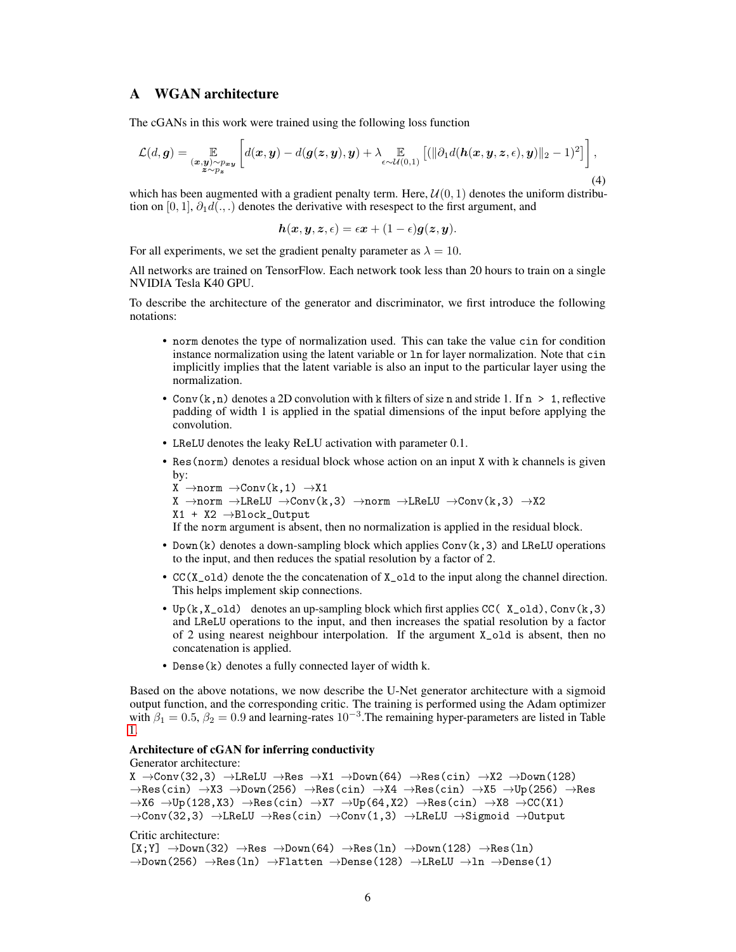# <span id="page-5-0"></span>A WGAN architecture

The cGANs in this work were trained using the following loss function

$$
\mathcal{L}(d, \mathbf{g}) = \mathop{\mathbb{E}}_{\substack{(\mathbf{x}, \mathbf{y}) \sim p_{\mathbf{x}\mathbf{y}} \\ \mathbf{z} \sim p_{\mathbf{z}}}} \left[ d(\mathbf{x}, \mathbf{y}) - d(\mathbf{g}(\mathbf{z}, \mathbf{y}), \mathbf{y}) + \lambda \mathop{\mathbb{E}}_{\epsilon \sim \mathcal{U}(0, 1)} \left[ (||\partial_1 d(\mathbf{h}(\mathbf{x}, \mathbf{y}, \mathbf{z}, \epsilon), \mathbf{y})||_2 - 1)^2 \right] \right],
$$
\n(4)

which has been augmented with a gradient penalty term. Here,  $\mathcal{U}(0, 1)$  denotes the uniform distribution on [0, 1],  $\partial_1 d(.,.)$  denotes the derivative with resespect to the first argument, and

$$
h(x, y, z, \epsilon) = \epsilon x + (1 - \epsilon)g(z, y).
$$

For all experiments, we set the gradient penalty parameter as  $\lambda = 10$ .

All networks are trained on TensorFlow. Each network took less than 20 hours to train on a single NVIDIA Tesla K40 GPU.

To describe the architecture of the generator and discriminator, we first introduce the following notations:

- norm denotes the type of normalization used. This can take the value cin for condition instance normalization using the latent variable or ln for layer normalization. Note that cin implicitly implies that the latent variable is also an input to the particular layer using the normalization.
- Conv $(k, n)$  denotes a 2D convolution with k filters of size n and stride 1. If  $n > 1$ , reflective padding of width 1 is applied in the spatial dimensions of the input before applying the convolution.
- LReLU denotes the leaky ReLU activation with parameter 0.1.
- Res(norm) denotes a residual block whose action on an input X with k channels is given by:

```
X \rightarrow norm \rightarrow Conv(k, 1) \rightarrow X1X \rightarrow norm \rightarrow LReLU \rightarrow Conv(k,3) \rightarrow norm \rightarrow LReLU \rightarrow Conv(k,3) \rightarrow X2X1 + X2 →Block_Output
```
- If the norm argument is absent, then no normalization is applied in the residual block.
- Down(k) denotes a down-sampling block which applies  $Conv(k, 3)$  and LReLU operations to the input, and then reduces the spatial resolution by a factor of 2.
- CC(X\_old) denote the the concatenation of X\_old to the input along the channel direction. This helps implement skip connections.
- Up( $k, X$ \_old) denotes an up-sampling block which first applies CC( $X$ \_old), Conv( $k, 3$ ) and LReLU operations to the input, and then increases the spatial resolution by a factor of 2 using nearest neighbour interpolation. If the argument X\_old is absent, then no concatenation is applied.
- Dense(k) denotes a fully connected layer of width k.

Based on the above notations, we now describe the U-Net generator architecture with a sigmoid output function, and the corresponding critic. The training is performed using the Adam optimizer with  $\beta_1 = 0.5$ ,  $\beta_2 = 0.9$  and learning-rates  $10^{-3}$ . The remaining hyper-parameters are listed in Table [1.](#page-6-2)

## Architecture of cGAN for inferring conductivity

#### Generator architecture:

```
X \rightarrow Conv(32,3) \rightarrow LReLU \rightarrow Res \rightarrow X1 \rightarrow Down(64) \rightarrow Res(cin) \rightarrow X2 \rightarrow Down(128)\rightarrowRes(cin) \rightarrowX3 \rightarrowDown(256) \rightarrowRes(cin) \rightarrowX4 \rightarrowRes(cin) \rightarrowX5 \rightarrowUp(256) \rightarrowRes
\rightarrowX6 \rightarrowUp(128,X3) \rightarrowRes(cin) \rightarrowX7 \rightarrowUp(64,X2) \rightarrowRes(cin) \rightarrowX8 \rightarrowCC(X1)
\rightarrowConv(32,3) \rightarrowLReLU \rightarrowRes(cin) \rightarrowConv(1,3) \rightarrowLReLU \rightarrowSigmoid \rightarrowOutput
Critic architecture:
[X;Y] \rightarrow Down(32) \rightarrow Res \rightarrow Down(64) \rightarrow Res(ln) \rightarrow Down(128) \rightarrow Res(ln)\rightarrowDown(256) \rightarrowRes(1n) \rightarrowFlatten \rightarrowDense(128) \rightarrowLReLU \rightarrowln \rightarrowDense(1)
```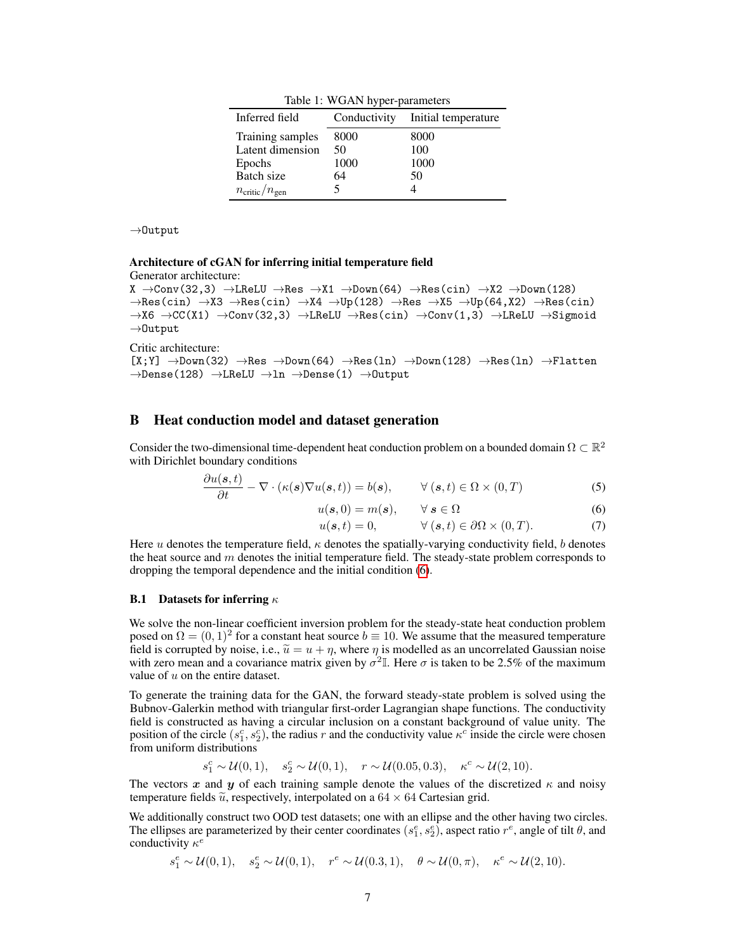Table 1: WGAN hyper-parameters

<span id="page-6-2"></span>

| Inferred field                     |      | Conductivity Initial temperature |
|------------------------------------|------|----------------------------------|
| Training samples                   | 8000 | 8000                             |
| Latent dimension                   | 50   | 100                              |
| Epochs                             | 1000 | 1000                             |
| Batch size                         | 64   | 50                               |
| $n_{\text{critic}}/n_{\text{gen}}$ |      |                                  |

→Output

#### Architecture of cGAN for inferring initial temperature field Generator architecture:

```
X \rightarrow Conv(32,3) \rightarrow LReLU \rightarrow Res \rightarrow X1 \rightarrow Down(64) \rightarrow Res(cin) \rightarrow X2 \rightarrow Down(128)\rightarrowRes(cin) \rightarrowX3 \rightarrowRes(cin) \rightarrowX4 \rightarrowUp(128) \rightarrowRes \rightarrowX5 \rightarrowUp(64,X2) \rightarrowRes(cin)
\rightarrowX6 \rightarrowCC(X1) \rightarrowConv(32,3) \rightarrowLReLU \rightarrowRes(cin) \rightarrowConv(1,3) \rightarrowLReLU \rightarrowSigmoid
→Output
```
Critic architecture:

 $[X;Y] \rightarrow Down(32) \rightarrow Res \rightarrow Down(64) \rightarrow Res(1n) \rightarrow Down(128) \rightarrow Res(1n) \rightarrow Flatten$  $\rightarrow$ Dense(128)  $\rightarrow$ LReLU  $\rightarrow$ ln  $\rightarrow$ Dense(1)  $\rightarrow$ Output

# <span id="page-6-0"></span>B Heat conduction model and dataset generation

Consider the two-dimensional time-dependent heat conduction problem on a bounded domain  $\Omega \subset \mathbb{R}^2$ with Dirichlet boundary conditions

$$
\frac{\partial u(s,t)}{\partial t} - \nabla \cdot (\kappa(s)\nabla u(s,t)) = b(s), \qquad \forall (s,t) \in \Omega \times (0,T)
$$
 (5)

$$
u(s,0) = m(s), \qquad \forall \ s \in \Omega \tag{6}
$$

<span id="page-6-5"></span><span id="page-6-4"></span><span id="page-6-3"></span>
$$
u(s,t) = 0, \qquad \forall (s,t) \in \partial\Omega \times (0,T). \tag{7}
$$

Here u denotes the temperature field,  $\kappa$  denotes the spatially-varying conductivity field, b denotes the heat source and  $m$  denotes the initial temperature field. The steady-state problem corresponds to dropping the temporal dependence and the initial condition [\(6\)](#page-6-3).

### <span id="page-6-1"></span>**B.1** Datasets for inferring  $\kappa$

We solve the non-linear coefficient inversion problem for the steady-state heat conduction problem posed on  $\Omega = (0, 1)^2$  for a constant heat source  $b \equiv 10$ . We assume that the measured temperature field is corrupted by noise, i.e.,  $\tilde{u} = u + \eta$ , where  $\eta$  is modelled as an uncorrelated Gaussian noise with zero mean and a covariance matrix given by  $\sigma^2 \mathbb{I}$ . Here  $\sigma$  is taken to be 2.5% of the maximum value of  $u$  on the entire dataset.

To generate the training data for the GAN, the forward steady-state problem is solved using the Bubnov-Galerkin method with triangular first-order Lagrangian shape functions. The conductivity field is constructed as having a circular inclusion on a constant background of value unity. The position of the circle  $(s_1^c, s_2^c)$ , the radius r and the conductivity value  $\kappa^c$  inside the circle were chosen from uniform distributions

$$
s_1^c \sim \mathcal{U}(0, 1), \quad s_2^c \sim \mathcal{U}(0, 1), \quad r \sim \mathcal{U}(0.05, 0.3), \quad \kappa^c \sim \mathcal{U}(2, 10).
$$

The vectors x and y of each training sample denote the values of the discretized  $\kappa$  and noisy temperature fields  $\tilde{u}$ , respectively, interpolated on a 64  $\times$  64 Cartesian grid.

We additionally construct two OOD test datasets; one with an ellipse and the other having two circles. The ellipses are parameterized by their center coordinates  $(s_1^e, s_2^e)$ , aspect ratio  $r^e$ , angle of tilt  $\theta$ , and conductivity  $\kappa^e$ 

 $s_1^e \sim \mathcal{U}(0, 1), \quad s_2^e \sim \mathcal{U}(0, 1), \quad r^e \sim \mathcal{U}(0.3, 1), \quad \theta \sim \mathcal{U}(0, \pi), \quad \kappa^e \sim \mathcal{U}(2, 10).$